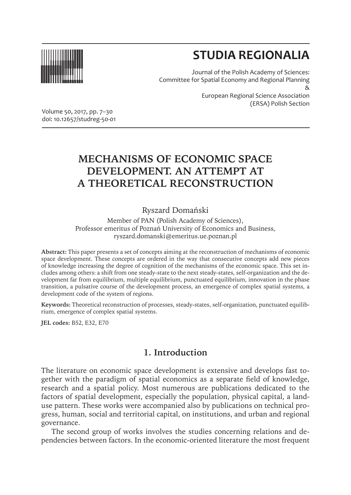

# **STUDIA REGIONALIA**

Journal of the Polish Academy of Sciences: Committee for Spatial Economy and Regional Planning & European Regional Science Association (ERSA) Polish Section

Volume 50, 2017, pp. 7–30 doi: 10.12657/studreg-50-01

## **MECHANISMS OF ECONOMIC SPACE DEVELOPMENT. AN ATTEMPT AT A THEORETICAL RECONSTRUCTION**

## Ryszard Domański

Member of PAN (Polish Academy of Sciences), Professor emeritus of Poznań University of Economics and Business, ryszard.domanski@emeritus.ue.poznan.pl

**Abstract:** This paper presents a set of concepts aiming at the reconstruction of mechanisms of economic space development. These concepts are ordered in the way that consecutive concepts add new pieces of knowledge increasing the degree of cognition of the mechanisms of the economic space. This set includes among others: a shift from one steady-state to the next steady-states, self-organization and the development far from equilibrium, multiple equilibrium, punctuated equilibrium, innovation in the phase transition, a pulsative course of the development process, an emergence of complex spatial systems, a development code of the system of regions.

**Keywords:** Theoretical reconstruction of processes, steady-states, self-organization, punctuated equilibrium, emergence of complex spatial systems.

**JEL codes:** B52, E32, E70

## **1. Introduction**

The literature on economic space development is extensive and develops fast together with the paradigm of spatial economics as a separate field of knowledge, research and a spatial policy. Most numerous are publications dedicated to the factors of spatial development, especially the population, physical capital, a landuse pattern. These works were accompanied also by publications on technical progress, human, social and territorial capital, on institutions, and urban and regional governance.

The second group of works involves the studies concerning relations and dependencies between factors. In the economic-oriented literature the most frequent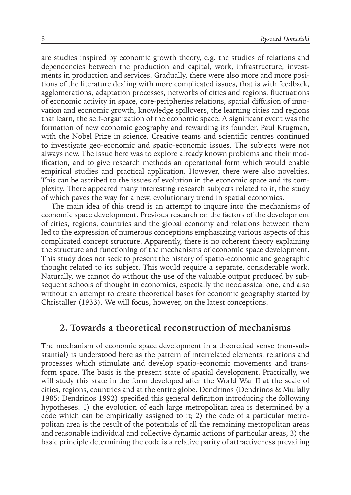are studies inspired by economic growth theory, e.g. the studies of relations and dependencies between the production and capital, work, infrastructure, investments in production and services. Gradually, there were also more and more positions of the literature dealing with more complicated issues, that is with feedback, agglomerations, adaptation processes, networks of cities and regions, fluctuations of economic activity in space, core-peripheries relations, spatial diffusion of innovation and economic growth, knowledge spillovers, the learning cities and regions that learn, the self-organization of the economic space. A significant event was the formation of new economic geography and rewarding its founder, Paul Krugman, with the Nobel Prize in science. Creative teams and scientific centres continued to investigate geo-economic and spatio-economic issues. The subjects were not always new. The issue here was to explore already known problems and their modification, and to give research methods an operational form which would enable empirical studies and practical application. However, there were also novelties. This can be ascribed to the issues of evolution in the economic space and its complexity. There appeared many interesting research subjects related to it, the study of which paves the way for a new, evolutionary trend in spatial economics.

The main idea of this trend is an attempt to inquire into the mechanisms of economic space development. Previous research on the factors of the development of cities, regions, countries and the global economy and relations between them led to the expression of numerous conceptions emphasizing various aspects of this complicated concept structure. Apparently, there is no coherent theory explaining the structure and functioning of the mechanisms of economic space development. This study does not seek to present the history of spatio-economic and geographic thought related to its subject. This would require a separate, considerable work. Naturally, we cannot do without the use of the valuable output produced by subsequent schools of thought in economics, especially the neoclassical one, and also without an attempt to create theoretical bases for economic geography started by Christaller (1933). We will focus, however, on the latest conceptions.

#### **2. Towards a theoretical reconstruction of mechanisms**

The mechanism of economic space development in a theoretical sense (non-substantial) is understood here as the pattern of interrelated elements, relations and processes which stimulate and develop spatio-economic movements and transform space. The basis is the present state of spatial development. Practically, we will study this state in the form developed after the World War II at the scale of cities, regions, countries and at the entire globe. Dendrinos (Dendrinos & Mullally 1985; Dendrinos 1992) specified this general definition introducing the following hypotheses: 1) the evolution of each large metropolitan area is determined by a code which can be empirically assigned to it; 2) the code of a particular metropolitan area is the result of the potentials of all the remaining metropolitan areas and reasonable individual and collective dynamic actions of particular areas; 3) the basic principle determining the code is a relative parity of attractiveness prevailing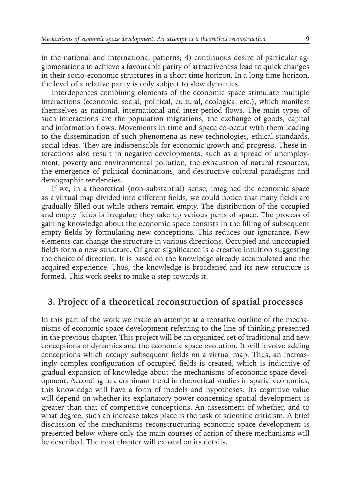in the national and international patterns; 4) continuous desire of particular agglomerations to achieve a favourable parity of attractiveness lead to quick changes in their socio-economic structures in a short time horizon. In a long time horizon, the level of a relative parity is only subject to slow dynamics.

Interdepences combining elements of the economic space stimulate multiple interactions (economic, social, political, cultural, ecological etc.), which manifest themselves as national, international and inter-period flows. The main types of such interactions are the population migrations, the exchange of goods, capital and information flows. Movements in time and space co-occur with them leading to the dissemination of such phenomena as new technologies, ethical standards, social ideas. They are indispensable for economic growth and progress. These interactions also result in negative developments, such as a spread of unemployment, poverty and environmental pollution, the exhaustion of natural resources, the emergence of political dominations, and destructive cultural paradigms and demographic tendencies.

If we, in a theoretical (non-substantial) sense, imagined the economic space as a virtual map divided into different fields, we could notice that many fields are gradually filled out while others remain empty. The distribution of the occupied and empty fields is irregular; they take up various parts of space. The process of gaining knowledge about the economic space consists in the filling of subsequent empty fields by formulating new conceptions. This reduces our ignorance. New elements can change the structure in various directions. Occupied and unoccupied fields form a new structure. Of great significance is a creative intuition suggesting the choice of direction. It is based on the knowledge already accumulated and the acquired experience. Thus, the knowledge is broadened and its new structure is formed. This work seeks to make a step towards it.

## **3. Project of a theoretical reconstruction of spatial processes**

In this part of the work we make an attempt at a tentative outline of the mechanisms of economic space development referring to the line of thinking presented in the previous chapter. This project will be an organized set of traditional and new conceptions of dynamics and the economic space evolution. It will involve adding conceptions which occupy subsequent fields on a virtual map. Thus, an increasingly complex configuration of occupied fields is created, which is indicative of gradual expansion of knowledge about the mechanisms of economic space development. According to a dominant trend in theoretical studies in spatial economics, this knowledge will have a form of models and hypotheses. Its cognitive value will depend on whether its explanatory power concerning spatial development is greater than that of competitive conceptions. An assessment of whether, and to what degree, such an increase takes place is the task of scientific criticism. A brief discussion of the mechanisms reconstructuring economic space development is presented below where only the main courses of action of these mechanisms will be described. The next chapter will expand on its details.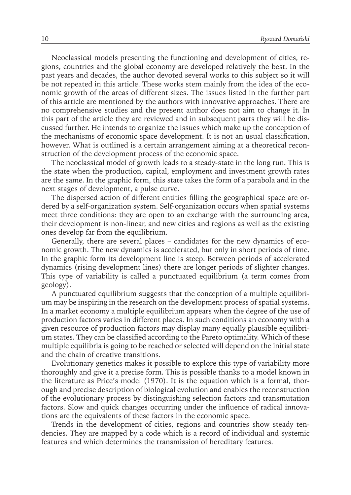Neoclassical models presenting the functioning and development of cities, regions, countries and the global economy are developed relatively the best. In the past years and decades, the author devoted several works to this subject so it will be not repeated in this article. These works stem mainly from the idea of the economic growth of the areas of different sizes. The issues listed in the further part of this article are mentioned by the authors with innovative approaches. There are no comprehensive studies and the present author does not aim to change it. In this part of the article they are reviewed and in subsequent parts they will be discussed further. He intends to organize the issues which make up the conception of the mechanisms of economic space development. It is not an usual classification, however. What is outlined is a certain arrangement aiming at a theoretical reconstruction of the development process of the economic space.

The neoclassical model of growth leads to a steady-state in the long run. This is the state when the production, capital, employment and investment growth rates are the same. In the graphic form, this state takes the form of a parabola and in the next stages of development, a pulse curve.

The dispersed action of different entities filling the geographical space are ordered by a self-organization system. Self-organization occurs when spatial systems meet three conditions: they are open to an exchange with the surrounding area, their development is non-linear, and new cities and regions as well as the existing ones develop far from the equilibrium.

Generally, there are several places – candidates for the new dynamics of economic growth. The new dynamics is accelerated, but only in short periods of time. In the graphic form its development line is steep. Between periods of accelerated dynamics (rising development lines) there are longer periods of slighter changes. This type of variability is called a punctuated equilibrium (a term comes from geology).

A punctuated equilibrium suggests that the conception of a multiple equilibrium may be inspiring in the research on the development process of spatial systems. In a market economy a multiple equilibrium appears when the degree of the use of production factors varies in different places. In such conditions an economy with a given resource of production factors may display many equally plausible equilibrium states. They can be classified according to the Pareto optimality. Which of these multiple equilibria is going to be reached or selected will depend on the initial state and the chain of creative transitions.

Evolutionary genetics makes it possible to explore this type of variability more thoroughly and give it a precise form. This is possible thanks to a model known in the literature as Price's model (1970). It is the equation which is a formal, thorough and precise description of biological evolution and enables the reconstruction of the evolutionary process by distinguishing selection factors and transmutation factors. Slow and quick changes occurring under the influence of radical innovations are the equivalents of these factors in the economic space.

Trends in the development of cities, regions and countries show steady tendencies. They are mapped by a code which is a record of individual and systemic features and which determines the transmission of hereditary features.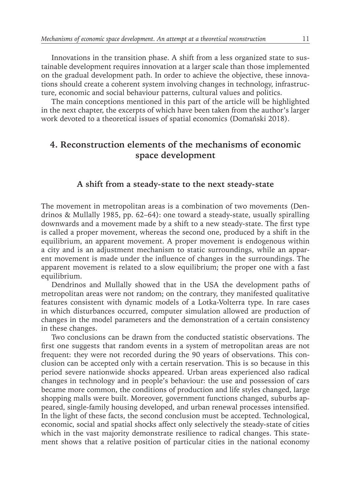Innovations in the transition phase. A shift from a less organized state to sustainable development requires innovation at a larger scale than those implemented on the gradual development path. In order to achieve the objective, these innovations should create a coherent system involving changes in technology, infrastructure, economic and social behaviour patterns, cultural values and politics.

The main conceptions mentioned in this part of the article will be highlighted in the next chapter, the excerpts of which have been taken from the author's larger work devoted to a theoretical issues of spatial economics (Domański 2018).

## **4. Reconstruction elements of the mechanisms of economic space development**

#### **A shift from a steady-state to the next steady-state**

The movement in metropolitan areas is a combination of two movements (Dendrinos & Mullally 1985, pp. 62–64): one toward a steady-state, usually spiralling downwards and a movement made by a shift to a new steady-state. The first type is called a proper movement, whereas the second one, produced by a shift in the equilibrium, an apparent movement. A proper movement is endogenous within a city and is an adjustment mechanism to static surroundings, while an apparent movement is made under the influence of changes in the surroundings. The apparent movement is related to a slow equilibrium; the proper one with a fast equilibrium.

Dendrinos and Mullally showed that in the USA the development paths of metropolitan areas were not random; on the contrary, they manifested qualitative features consistent with dynamic models of a Lotka-Volterra type. In rare cases in which disturbances occurred, computer simulation allowed are production of changes in the model parameters and the demonstration of a certain consistency in these changes.

Two conclusions can be drawn from the conducted statistic observations. The first one suggests that random events in a system of metropolitan areas are not frequent: they were not recorded during the 90 years of observations. This conclusion can be accepted only with a certain reservation. This is so because in this period severe nationwide shocks appeared. Urban areas experienced also radical changes in technology and in people's behaviour: the use and possession of cars became more common, the conditions of production and life styles changed, large shopping malls were built. Moreover, government functions changed, suburbs appeared, single-family housing developed, and urban renewal processes intensified. In the light of these facts, the second conclusion must be accepted. Technological, economic, social and spatial shocks affect only selectively the steady-state of cities which in the vast majority demonstrate resilience to radical changes. This statement shows that a relative position of particular cities in the national economy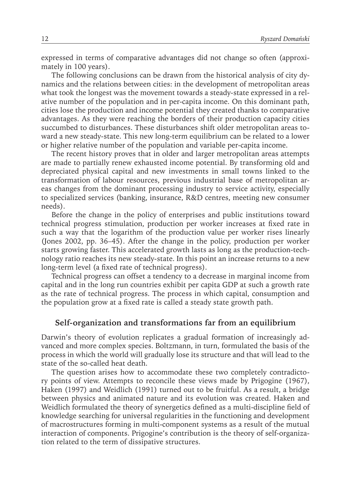expressed in terms of comparative advantages did not change so often (approximately in 100 years).

The following conclusions can be drawn from the historical analysis of city dynamics and the relations between cities: in the development of metropolitan areas what took the longest was the movement towards a steady-state expressed in a relative number of the population and in per-capita income. On this dominant path, cities lose the production and income potential they created thanks to comparative advantages. As they were reaching the borders of their production capacity cities succumbed to disturbances. These disturbances shift older metropolitan areas toward a new steady-state. This new long-term equilibrium can be related to a lower or higher relative number of the population and variable per-capita income.

The recent history proves that in older and larger metropolitan areas attempts are made to partially renew exhausted income potential. By transforming old and depreciated physical capital and new investments in small towns linked to the transformation of labour resources, previous industrial base of metropolitan areas changes from the dominant processing industry to service activity, especially to specialized services (banking, insurance, R&D centres, meeting new consumer needs).

Before the change in the policy of enterprises and public institutions toward technical progress stimulation, production per worker increases at fixed rate in such a way that the logarithm of the production value per worker rises linearly (Jones 2002, pp. 36–45). After the change in the policy, production per worker starts growing faster. This accelerated growth lasts as long as the production-technology ratio reaches its new steady-state. In this point an increase returns to a new long-term level (a fixed rate of technical progress).

Technical progress can offset a tendency to a decrease in marginal income from capital and in the long run countries exhibit per capita GDP at such a growth rate as the rate of technical progress. The process in which capital, consumption and the population grow at a fixed rate is called a steady state growth path.

#### **Self-organization and transformations far from an equilibrium**

Darwin's theory of evolution replicates a gradual formation of increasingly advanced and more complex species. Boltzmann, in turn, formulated the basis of the process in which the world will gradually lose its structure and that will lead to the state of the so-called heat death.

The question arises how to accommodate these two completely contradictory points of view. Attempts to reconcile these views made by Prigogine (1967), Haken (1997) and Weidlich (1991) turned out to be fruitful. As a result, a bridge between physics and animated nature and its evolution was created. Haken and Weidlich formulated the theory of synergetics defined as a multi-discipline field of knowledge searching for universal regularities in the functioning and development of macrostructures forming in multi-component systems as a result of the mutual interaction of components. Prigogine's contribution is the theory of self-organization related to the term of dissipative structures.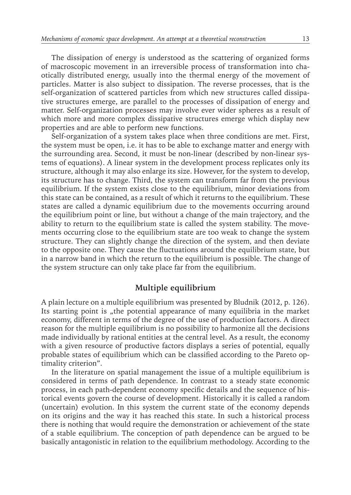The dissipation of energy is understood as the scattering of organized forms of macroscopic movement in an irreversible process of transformation into chaotically distributed energy, usually into the thermal energy of the movement of particles. Matter is also subject to dissipation. The reverse processes, that is the self-organization of scattered particles from which new structures called dissipative structures emerge, are parallel to the processes of dissipation of energy and matter. Self-organization processes may involve ever wider spheres as a result of which more and more complex dissipative structures emerge which display new properties and are able to perform new functions.

Self-organization of a system takes place when three conditions are met. First, the system must be open, i.e. it has to be able to exchange matter and energy with the surrounding area. Second, it must be non-linear (described by non-linear systems of equations). A linear system in the development process replicates only its structure, although it may also enlarge its size. However, for the system to develop, its structure has to change. Third, the system can transform far from the previous equilibrium. If the system exists close to the equilibrium, minor deviations from this state can be contained, as a result of which it returns to the equilibrium. These states are called a dynamic equilibrium due to the movements occurring around the equilibrium point or line, but without a change of the main trajectory, and the ability to return to the equilibrium state is called the system stability. The movements occurring close to the equilibrium state are too weak to change the system structure. They can slightly change the direction of the system, and then deviate to the opposite one. They cause the fluctuations around the equilibrium state, but in a narrow band in which the return to the equilibrium is possible. The change of the system structure can only take place far from the equilibrium.

### **Multiple equilibrium**

A plain lecture on a multiple equilibrium was presented by Bludnik (2012, p. 126). Its starting point is "the potential appearance of many equilibria in the market economy, different in terms of the degree of the use of production factors. A direct reason for the multiple equilibrium is no possibility to harmonize all the decisions made individually by rational entities at the central level. As a result, the economy with a given resource of productive factors displays a series of potential, equally probable states of equilibrium which can be classified according to the Pareto optimality criterion".

In the literature on spatial management the issue of a multiple equilibrium is considered in terms of path dependence. In contrast to a steady state economic process, in each path-dependent economy specific details and the sequence of historical events govern the course of development. Historically it is called a random (uncertain) evolution. In this system the current state of the economy depends on its origins and the way it has reached this state. In such a historical process there is nothing that would require the demonstration or achievement of the state of a stable equilibrium. The conception of path dependence can be argued to be basically antagonistic in relation to the equilibrium methodology. According to the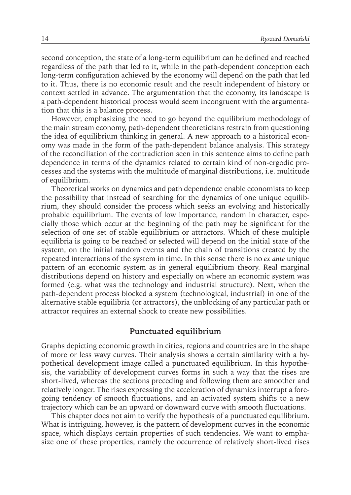second conception, the state of a long-term equilibrium can be defined and reached regardless of the path that led to it, while in the path-dependent conception each long-term configuration achieved by the economy will depend on the path that led to it. Thus, there is no economic result and the result independent of history or context settled in advance. The argumentation that the economy, its landscape is a path-dependent historical process would seem incongruent with the argumentation that this is a balance process.

However, emphasizing the need to go beyond the equilibrium methodology of the main stream economy, path-dependent theoreticians restrain from questioning the idea of equilibrium thinking in general. A new approach to a historical economy was made in the form of the path-dependent balance analysis. This strategy of the reconciliation of the contradiction seen in this sentence aims to define path dependence in terms of the dynamics related to certain kind of non-ergodic processes and the systems with the multitude of marginal distributions, i.e. multitude of equilibrium.

Theoretical works on dynamics and path dependence enable economists to keep the possibility that instead of searching for the dynamics of one unique equilibrium, they should consider the process which seeks an evolving and historically probable equilibrium. The events of low importance, random in character, especially those which occur at the beginning of the path may be significant for the selection of one set of stable equilibrium or attractors. Which of these multiple equilibria is going to be reached or selected will depend on the initial state of the system, on the initial random events and the chain of transitions created by the repeated interactions of the system in time. In this sense there is no *ex ante* unique pattern of an economic system as in general equilibrium theory. Real marginal distributions depend on history and especially on where an economic system was formed (e.g. what was the technology and industrial structure). Next, when the path-dependent process blocked a system (technological, industrial) in one of the alternative stable equilibria (or attractors), the unblocking of any particular path or attractor requires an external shock to create new possibilities.

#### **Punctuated equilibrium**

Graphs depicting economic growth in cities, regions and countries are in the shape of more or less wavy curves. Their analysis shows a certain similarity with a hypothetical development image called a punctuated equilibrium. In this hypothesis, the variability of development curves forms in such a way that the rises are short-lived, whereas the sections preceding and following them are smoother and relatively longer. The rises expressing the acceleration of dynamics interrupt a foregoing tendency of smooth fluctuations, and an activated system shifts to a new trajectory which can be an upward or downward curve with smooth fluctuations.

This chapter does not aim to verify the hypothesis of a punctuated equilibrium. What is intriguing, however, is the pattern of development curves in the economic space, which displays certain properties of such tendencies. We want to emphasize one of these properties, namely the occurrence of relatively short-lived rises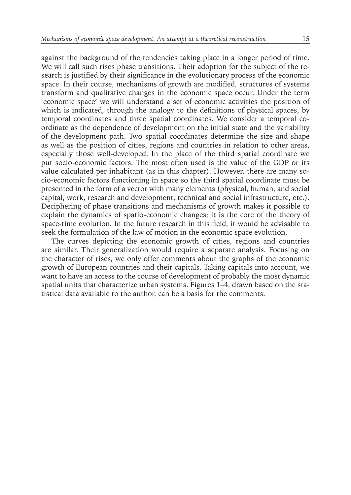against the background of the tendencies taking place in a longer period of time. We will call such rises phase transitions. Their adoption for the subject of the research is justified by their significance in the evolutionary process of the economic space. In their course, mechanisms of growth are modified, structures of systems transform and qualitative changes in the economic space occur. Under the term 'economic space' we will understand a set of economic activities the position of which is indicated, through the analogy to the definitions of physical spaces, by temporal coordinates and three spatial coordinates. We consider a temporal coordinate as the dependence of development on the initial state and the variability of the development path. Two spatial coordinates determine the size and shape as well as the position of cities, regions and countries in relation to other areas, especially those well-developed. In the place of the third spatial coordinate we put socio-economic factors. The most often used is the value of the GDP or its value calculated per inhabitant (as in this chapter). However, there are many socio-economic factors functioning in space so the third spatial coordinate must be presented in the form of a vector with many elements (physical, human, and social capital, work, research and development, technical and social infrastructure, etc.). Deciphering of phase transitions and mechanisms of growth makes it possible to explain the dynamics of spatio-economic changes; it is the core of the theory of space-time evolution. In the future research in this field, it would be advisable to seek the formulation of the law of motion in the economic space evolution.

The curves depicting the economic growth of cities, regions and countries are similar. Their generalization would require a separate analysis. Focusing on the character of rises, we only offer comments about the graphs of the economic growth of European countries and their capitals. Taking capitals into account, we want to have an access to the course of development of probably the most dynamic spatial units that characterize urban systems. Figures 1–4, drawn based on the statistical data available to the author, can be a basis for the comments.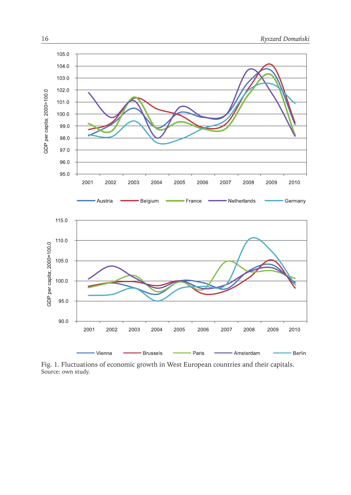

Fig. 1. Fluctuations of economic growth in West European countries and their capitals. Source: own study.

Paris

ċ

- Amsterdam

- Berlin

- Brussels

Vienna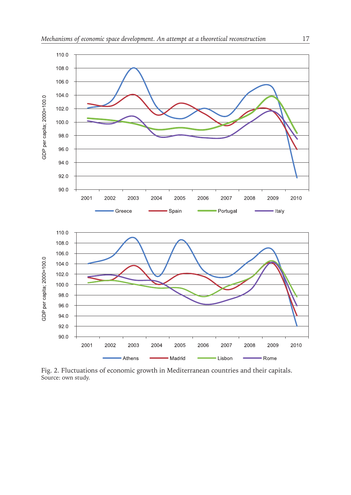

Fig. 2. Fluctuations of economic growth in Mediterranean countries and their capitals. Source: own study.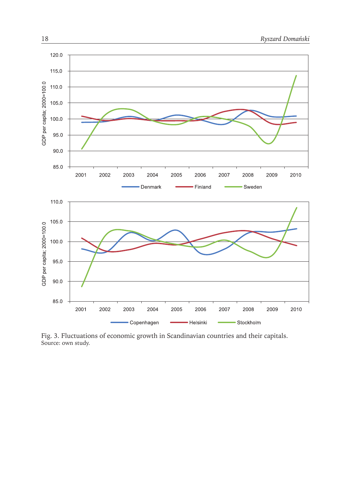

Fig. 3. Fluctuations of economic growth in Scandinavian countries and their capitals. Source: own study.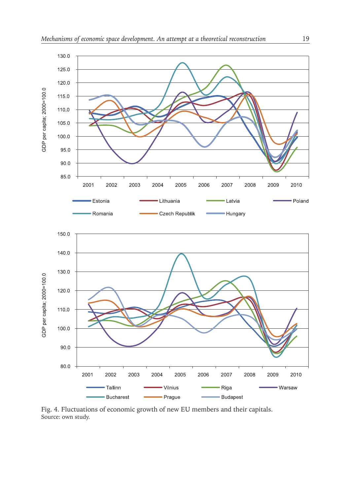

Fig. 4. Fluctuations of economic growth of new EU members and their capitals. Source: own study.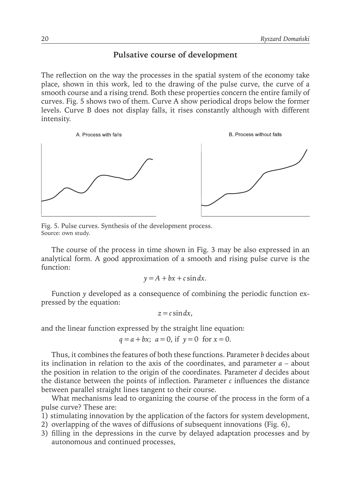## **Pulsative course of development**

The reflection on the way the processes in the spatial system of the economy take place, shown in this work, led to the drawing of the pulse curve, the curve of a smooth course and a rising trend. Both these properties concern the entire family of curves. Fig. 5 shows two of them. Curve A show periodical drops below the former levels. Curve B does not display falls, it rises constantly although with different intensity.



Fig. 5. Pulse curves. Synthesis of the development process. Source: own study.

The course of the process in time shown in Fig. 3 may be also expressed in an analytical form. A good approximation of a smooth and rising pulse curve is the function:

$$
y = A + bx + c \sin dx.
$$

Function *y* developed as a consequence of combining the periodic function expressed by the equation:

$$
z = c \sin dx,
$$

and the linear function expressed by the straight line equation:

$$
q = a + bx
$$
;  $a = 0$ , if  $y = 0$  for  $x = 0$ .

Thus, it combines the features of both these functions. Parameter *b* decides about its inclination in relation to the axis of the coordinates, and parameter *a* – about the position in relation to the origin of the coordinates. Parameter *d* decides about the distance between the points of inflection. Parameter  $c$  influences the distance between parallel straight lines tangent to their course.

What mechanisms lead to organizing the course of the process in the form of a pulse curve? These are:

- 1) stimulating innovation by the application of the factors for system development,
- 2) overlapping of the waves of diffusions of subsequent innovations (Fig. 6),
- 3) filling in the depressions in the curve by delayed adaptation processes and by autonomous and continued processes,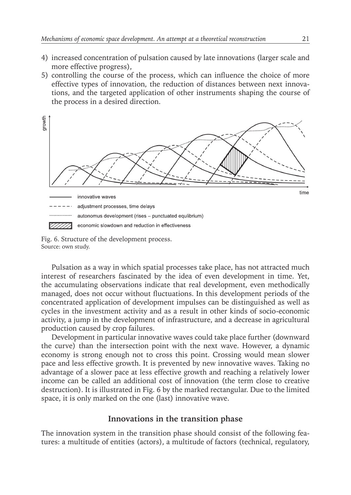- 4) increased concentration of pulsation caused by late innovations (larger scale and more effective progress),
- 5) controlling the course of the process, which can influence the choice of more effective types of innovation, the reduction of distances between next innovations, and the targeted application of other instruments shaping the course of the process in a desired direction.



Fig. 6. Structure of the development process. Source: own study.

Pulsation as a way in which spatial processes take place, has not attracted much interest of researchers fascinated by the idea of even development in time. Yet, the accumulating observations indicate that real development, even methodically managed, does not occur without fluctuations. In this development periods of the concentrated application of development impulses can be distinguished as well as cycles in the investment activity and as a result in other kinds of socio-economic activity, a jump in the development of infrastructure, and a decrease in agricultural production caused by crop failures.

Development in particular innovative waves could take place further (downward the curve) than the intersection point with the next wave. However, a dynamic economy is strong enough not to cross this point. Crossing would mean slower pace and less effective growth. It is prevented by new innovative waves. Taking no advantage of a slower pace at less effective growth and reaching a relatively lower income can be called an additional cost of innovation (the term close to creative destruction). It is illustrated in Fig. 6 by the marked rectangular. Due to the limited space, it is only marked on the one (last) innovative wave.

## **Innovations in the transition phase**

The innovation system in the transition phase should consist of the following features: a multitude of entities (actors), a multitude of factors (technical, regulatory,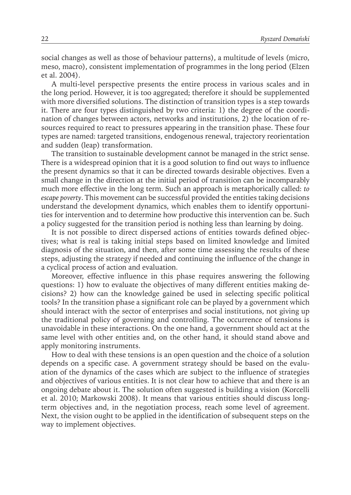social changes as well as those of behaviour patterns), a multitude of levels (micro, meso, macro), consistent implementation of programmes in the long period (Elzen et al. 2004).

A multi-level perspective presents the entire process in various scales and in the long period. However, it is too aggregated; therefore it should be supplemented with more diversified solutions. The distinction of transition types is a step towards it. There are four types distinguished by two criteria: 1) the degree of the coordination of changes between actors, networks and institutions, 2) the location of resources required to react to pressures appearing in the transition phase. These four types are named: targeted transitions, endogenous renewal, trajectory reorientation and sudden (leap) transformation.

The transition to sustainable development cannot be managed in the strict sense. There is a widespread opinion that it is a good solution to find out ways to influence the present dynamics so that it can be directed towards desirable objectives. Even a small change in the direction at the initial period of transition can be incomparably much more effective in the long term. Such an approach is metaphorically called: *to escape poverty*. This movement can be successful provided the entities taking decisions understand the development dynamics, which enables them to identify opportunities for intervention and to determine how productive this intervention can be. Such a policy suggested for the transition period is nothing less than learning by doing.

It is not possible to direct dispersed actions of entities towards defined objectives; what is real is taking initial steps based on limited knowledge and limited diagnosis of the situation, and then, after some time assessing the results of these steps, adjusting the strategy if needed and continuing the influence of the change in a cyclical process of action and evaluation.

Moreover, effective influence in this phase requires answering the following questions: 1) how to evaluate the objectives of many different entities making decisions? 2) how can the knowledge gained be used in selecting specific political tools? In the transition phase a significant role can be played by a government which should interact with the sector of enterprises and social institutions, not giving up the traditional policy of governing and controlling. The occurrence of tensions is unavoidable in these interactions. On the one hand, a government should act at the same level with other entities and, on the other hand, it should stand above and apply monitoring instruments.

How to deal with these tensions is an open question and the choice of a solution depends on a specific case. A government strategy should be based on the evaluation of the dynamics of the cases which are subject to the influence of strategies and objectives of various entities. It is not clear how to achieve that and there is an ongoing debate about it. The solution often suggested is building a vision (Korcelli et al. 2010; Markowski 2008). It means that various entities should discuss longterm objectives and, in the negotiation process, reach some level of agreement. Next, the vision ought to be applied in the identification of subsequent steps on the way to implement objectives.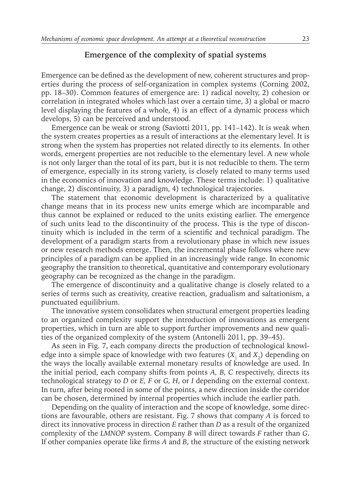#### **Emergence of the complexity of spatial systems**

Emergence can be defined as the development of new, coherent structures and properties during the process of self-organization in complex systems (Corning 2002, pp. 18–30). Common features of emergence are: 1) radical novelty, 2) cohesion or correlation in integrated wholes which last over a certain time, 3) a global or macro level displaying the features of a whole, 4) is an effect of a dynamic process which develops, 5) can be perceived and understood.

Emergence can be weak or strong (Saviotti 2011, pp. 141–142). It is weak when the system creates properties as a result of interactions at the elementary level. It is strong when the system has properties not related directly to its elements. In other words, emergent properties are not reducible to the elementary level. A new whole is not only larger than the total of its part, but it is not reducible to them. The term of emergence, especially in its strong variety, is closely related to many terms used in the economics of innovation and knowledge. These terms include: 1) qualitative change, 2) discontinuity, 3) a paradigm, 4) technological trajectories.

The statement that economic development is characterized by a qualitative change means that in its process new units emerge which are incomparable and thus cannot be explained or reduced to the units existing earlier. The emergence of such units lead to the discontinuity of the process. This is the type of discontinuity which is included in the term of a scientific and technical paradigm. The development of a paradigm starts from a revolutionary phase in which new issues or new research methods emerge. Then, the incremental phase follows where new principles of a paradigm can be applied in an increasingly wide range. In economic geography the transition to theoretical, quantitative and contemporary evolutionary geography can be recognized as the change in the paradigm.

The emergence of discontinuity and a qualitative change is closely related to a series of terms such as creativity, creative reaction, gradualism and saltationism, a punctuated equilibrium.

The innovative system consolidates when structural emergent properties leading to an organized complexity support the introduction of innovations as emergent properties, which in turn are able to support further improvements and new qualities of the organized complexity of the system (Antonelli 2011, pp. 39–45).

As seen in Fig. 7, each company directs the production of technological knowledge into a simple space of knowledge with two features  $(X_1 \text{ and } X_2)$  depending on the ways the locally available external monetary results of knowledge are used. In the initial period, each company shifts from points *A, B, C* respectively, directs its technological strategy to *D* or *E, F* or *G, H*, or *I* depending on the external context. In turn, after being rooted in some of the points, a new direction inside the corridor can be chosen, determined by internal properties which include the earlier path.

Depending on the quality of interaction and the scope of knowledge, some directions are favourable, others are resistant. Fig. 7 shows that company *A* is forced to direct its innovative process in direction *E* rather than *D* as a result of the organized complexity of the *LMNOP* system. Company *B* will direct towards *F* rather than *G*. If other companies operate like firms *A* and *B*, the structure of the existing network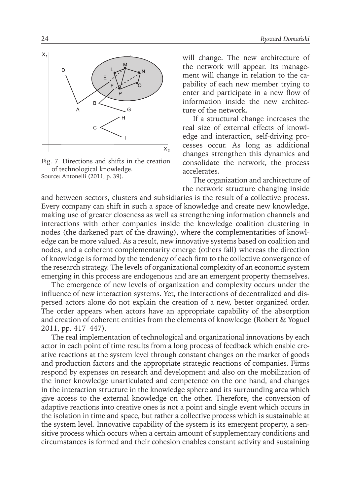

Fig. 7. Directions and shifts in the creation of technological knowledge. Source: Antonelli (2011, p. 39).

will change. The new architecture of the network will appear. Its management will change in relation to the capability of each new member trying to enter and participate in a new flow of information inside the new architecture of the network.

If a structural change increases the real size of external effects of knowledge and interaction, self-driving processes occur. As long as additional changes strengthen this dynamics and consolidate the network, the process accelerates.

The organization and architecture of the network structure changing inside

and between sectors, clusters and subsidiaries is the result of a collective process. Every company can shift in such a space of knowledge and create new knowledge, making use of greater closeness as well as strengthening information channels and interactions with other companies inside the knowledge coalition clustering in nodes (the darkened part of the drawing), where the complementarities of knowledge can be more valued. As a result, new innovative systems based on coalition and nodes, and a coherent complementarity emerge (others fall) whereas the direction of knowledge is formed by the tendency of each firm to the collective convergence of the research strategy. The levels of organizational complexity of an economic system emerging in this process are endogenous and are an emergent property themselves.

The emergence of new levels of organization and complexity occurs under the influence of new interaction systems. Yet, the interactions of decentralized and dispersed actors alone do not explain the creation of a new, better organized order. The order appears when actors have an appropriate capability of the absorption and creation of coherent entities from the elements of knowledge (Robert & Yoguel 2011, pp. 417–447).

The real implementation of technological and organizational innovations by each actor in each point of time results from a long process of feedback which enable creative reactions at the system level through constant changes on the market of goods and production factors and the appropriate strategic reactions of companies. Firms respond by expenses on research and development and also on the mobilization of the inner knowledge unarticulated and competence on the one hand, and changes in the interaction structure in the knowledge sphere and its surrounding area which give access to the external knowledge on the other. Therefore, the conversion of adaptive reactions into creative ones is not a point and single event which occurs in the isolation in time and space, but rather a collective process which is sustainable at the system level. Innovative capability of the system is its emergent property, a sensitive process which occurs when a certain amount of supplementary conditions and circumstances is formed and their cohesion enables constant activity and sustaining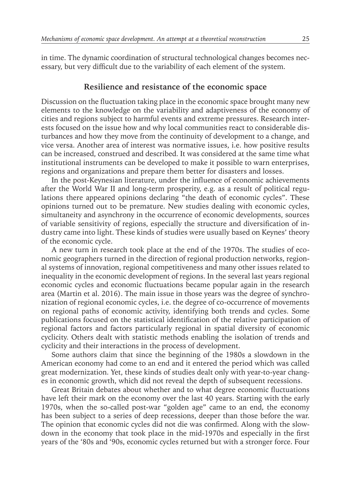in time. The dynamic coordination of structural technological changes becomes necessary, but very difficult due to the variability of each element of the system.

#### **Resilience and resistance of the economic space**

Discussion on the fluctuation taking place in the economic space brought many new elements to the knowledge on the variability and adaptiveness of the economy of cities and regions subject to harmful events and extreme pressures. Research interests focused on the issue how and why local communities react to considerable disturbances and how they move from the continuity of development to a change, and vice versa. Another area of interest was normative issues, i.e. how positive results can be increased, construed and described. It was considered at the same time what institutional instruments can be developed to make it possible to warn enterprises, regions and organizations and prepare them better for disasters and losses.

In the post-Keynesian literature, under the influence of economic achievements after the World War II and long-term prosperity, e.g. as a result of political regulations there appeared opinions declaring "the death of economic cycles". These opinions turned out to be premature. New studies dealing with economic cycles, simultaneity and asynchrony in the occurrence of economic developments, sources of variable sensitivity of regions, especially the structure and diversification of industry came into light. These kinds of studies were usually based on Keynes' theory of the economic cycle.

A new turn in research took place at the end of the 1970s. The studies of economic geographers turned in the direction of regional production networks, regional systems of innovation, regional competitiveness and many other issues related to inequality in the economic development of regions. In the several last years regional economic cycles and economic fluctuations became popular again in the research area (Martin et al. 2016). The main issue in those years was the degree of synchronization of regional economic cycles, i.e. the degree of co-occurrence of movements on regional paths of economic activity, identifying both trends and cycles. Some publications focused on the statistical identification of the relative participation of regional factors and factors particularly regional in spatial diversity of economic cyclicity. Others dealt with statistic methods enabling the isolation of trends and cyclicity and their interactions in the process of development.

Some authors claim that since the beginning of the 1980s a slowdown in the American economy had come to an end and it entered the period which was called great modernization. Yet, these kinds of studies dealt only with year-to-year changes in economic growth, which did not reveal the depth of subsequent recessions.

Great Britain debates about whether and to what degree economic fluctuations have left their mark on the economy over the last 40 years. Starting with the early 1970s, when the so-called post-war "golden age" came to an end, the economy has been subject to a series of deep recessions, deeper than those before the war. The opinion that economic cycles did not die was confirmed. Along with the slowdown in the economy that took place in the mid-1970s and especially in the first years of the '80s and '90s, economic cycles returned but with a stronger force. Four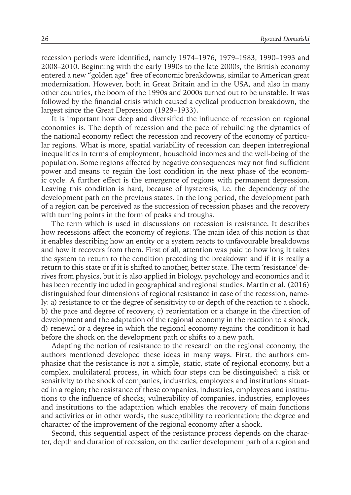recession periods were identified, namely 1974–1976, 1979–1983, 1990–1993 and 2008–2010. Beginning with the early 1990s to the late 2000s, the British economy entered a new "golden age" free of economic breakdowns, similar to American great modernization. However, both in Great Britain and in the USA, and also in many other countries, the boom of the 1990s and 2000s turned out to be unstable. It was followed by the financial crisis which caused a cyclical production breakdown, the largest since the Great Depression (1929–1933).

It is important how deep and diversified the influence of recession on regional economies is. The depth of recession and the pace of rebuilding the dynamics of the national economy reflect the recession and recovery of the economy of particular regions. What is more, spatial variability of recession can deepen interregional inequalities in terms of employment, household incomes and the well-being of the population. Some regions affected by negative consequences may not find sufficient power and means to regain the lost condition in the next phase of the economic cycle. A further effect is the emergence of regions with permanent depression. Leaving this condition is hard, because of hysteresis, i.e. the dependency of the development path on the previous states. In the long period, the development path of a region can be perceived as the succession of recession phases and the recovery with turning points in the form of peaks and troughs.

The term which is used in discussions on recession is resistance. It describes how recessions affect the economy of regions. The main idea of this notion is that it enables describing how an entity or a system reacts to unfavourable breakdowns and how it recovers from them. First of all, attention was paid to how long it takes the system to return to the condition preceding the breakdown and if it is really a return to this state or if it is shifted to another, better state. The term 'resistance' derives from physics, but it is also applied in biology, psychology and economics and it has been recently included in geographical and regional studies. Martin et al. (2016) distinguished four dimensions of regional resistance in case of the recession, namely: a) resistance to or the degree of sensitivity to or depth of the reaction to a shock, b) the pace and degree of recovery, c) reorientation or a change in the direction of development and the adaptation of the regional economy in the reaction to a shock, d) renewal or a degree in which the regional economy regains the condition it had before the shock on the development path or shifts to a new path.

Adapting the notion of resistance to the research on the regional economy, the authors mentioned developed these ideas in many ways. First, the authors emphasize that the resistance is not a simple, static, state of regional economy, but a complex, multilateral process, in which four steps can be distinguished: a risk or sensitivity to the shock of companies, industries, employees and institutions situated in a region; the resistance of these companies, industries, employees and institutions to the influence of shocks; vulnerability of companies, industries, employees and institutions to the adaptation which enables the recovery of main functions and activities or in other words, the susceptibility to reorientation; the degree and character of the improvement of the regional economy after a shock.

Second, this sequential aspect of the resistance process depends on the character, depth and duration of recession, on the earlier development path of a region and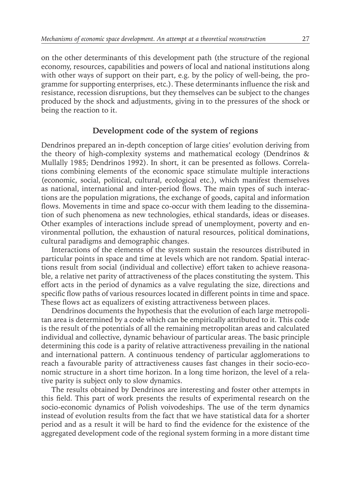on the other determinants of this development path (the structure of the regional economy, resources, capabilities and powers of local and national institutions along with other ways of support on their part, e.g. by the policy of well-being, the programme for supporting enterprises, etc.). These determinants influence the risk and resistance, recession disruptions, but they themselves can be subject to the changes produced by the shock and adjustments, giving in to the pressures of the shock or being the reaction to it.

#### **Development code of the system of regions**

Dendrinos prepared an in-depth conception of large cities' evolution deriving from the theory of high-complexity systems and mathematical ecology (Dendrinos & Mullally 1985; Dendrinos 1992). In short, it can be presented as follows. Correlations combining elements of the economic space stimulate multiple interactions (economic, social, political, cultural, ecological etc.), which manifest themselves as national, international and inter-period flows. The main types of such interactions are the population migrations, the exchange of goods, capital and information flows. Movements in time and space co-occur with them leading to the dissemination of such phenomena as new technologies, ethical standards, ideas or diseases. Other examples of interactions include spread of unemployment, poverty and environmental pollution, the exhaustion of natural resources, political dominations, cultural paradigms and demographic changes.

Interactions of the elements of the system sustain the resources distributed in particular points in space and time at levels which are not random. Spatial interactions result from social (individual and collective) effort taken to achieve reasonable, a relative net parity of attractiveness of the places constituting the system. This effort acts in the period of dynamics as a valve regulating the size, directions and specific flow paths of various resources located in different points in time and space. These flows act as equalizers of existing attractiveness between places.

Dendrinos documents the hypothesis that the evolution of each large metropolitan area is determined by a code which can be empirically attributed to it. This code is the result of the potentials of all the remaining metropolitan areas and calculated individual and collective, dynamic behaviour of particular areas. The basic principle determining this code is a parity of relative attractiveness prevailing in the national and international pattern. A continuous tendency of particular agglomerations to reach a favourable parity of attractiveness causes fast changes in their socio-economic structure in a short time horizon. In a long time horizon, the level of a relative parity is subject only to slow dynamics.

The results obtained by Dendrinos are interesting and foster other attempts in this field. This part of work presents the results of experimental research on the socio-economic dynamics of Polish voivodeships. The use of the term dynamics instead of evolution results from the fact that we have statistical data for a shorter period and as a result it will be hard to find the evidence for the existence of the aggregated development code of the regional system forming in a more distant time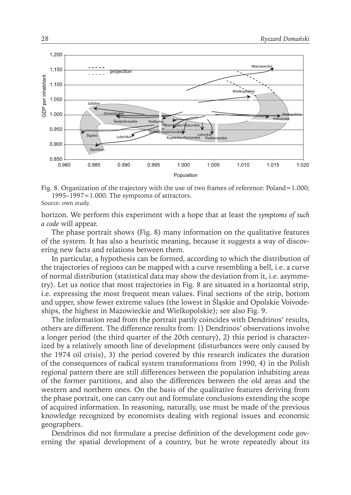

Fig. 8. Organization of the trajectory with the use of two frames of reference: Poland=1.000;  $1995-1997=1.000$ . The symptoms of attractors.

Source: own study.

horizon. We perform this experiment with a hope that at least the *symptoms of such a code* will appear.

The phase portrait shows (Fig. 8) many information on the qualitative features of the system. It has also a heuristic meaning, because it suggests a way of discovering new facts and relations between them.

In particular, a hypothesis can be formed, according to which the distribution of the trajectories of regions can be mapped with a curve resembling a bell, i.e. a curve of normal distribution (statistical data may show the deviation from it, i.e. asymmetry). Let us notice that most trajectories in Fig. 8 are situated in a horizontal strip, i.e. expressing the most frequent mean values. Final sections of the strip, bottom and upper, show fewer extreme values (the lowest in Śląskie and Opolskie Voivodeships, the highest in Mazowieckie and Wielkopolskie); see also Fig. 9.

The information read from the portrait partly coincides with Dendrinos' results, others are different. The difference results from: 1) Dendrinos' observations involve a longer period (the third quarter of the 20th century), 2) this period is characterized by a relatively smooth line of development (disturbances were only caused by the 1974 oil crisis), 3) the period covered by this research indicates the duration of the consequences of radical system transformations from 1990, 4) in the Polish regional pattern there are still differences between the population inhabiting areas of the former partitions, and also the differences between the old areas and the western and northern ones. On the basis of the qualitative features deriving from the phase portrait, one can carry out and formulate conclusions extending the scope of acquired information. In reasoning, naturally, use must be made of the previous knowledge recognized by economists dealing with regional issues and economic geographers.

Dendrinos did not formulate a precise definition of the development code governing the spatial development of a country, but he wrote repeatedly about its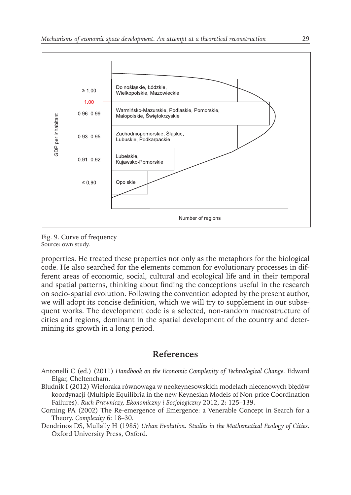

Fig. 9. Curve of frequency Source: own study.

properties. He treated these properties not only as the metaphors for the biological code. He also searched for the elements common for evolutionary processes in different areas of economic, social, cultural and ecological life and in their temporal and spatial patterns, thinking about finding the conceptions useful in the research on socio-spatial evolution. Following the convention adopted by the present author, we will adopt its concise definition, which we will try to supplement in our subsequent works. The development code is a selected, non-random macrostructure of cities and regions, dominant in the spatial development of the country and determining its growth in a long period.

#### **References**

- Antonelli C (ed.) (2011) *Handbook on the Economic Complexity of Technological Change.* Edward Elgar, Cheltencham.
- Bludnik I (2012) Wieloraka równowaga w neokeynesowskich modelach niecenowych błędów koordynacji (Multiple Equilibria in the new Keynesian Models of Non-price Coordination Failures)*. Ruch Prawniczy, Ekonomiczny i Socjologiczny* 2012, 2: 125–139.
- Corning PA (2002) The Re-emergence of Emergence: a Venerable Concept in Search for a Theory. *Complexity* 6: 18–30.
- Dendrinos DS, Mullally H (1985) *Urban Evolution. Studies in the Mathematical Ecology of Cities.* Oxford University Press, Oxford.